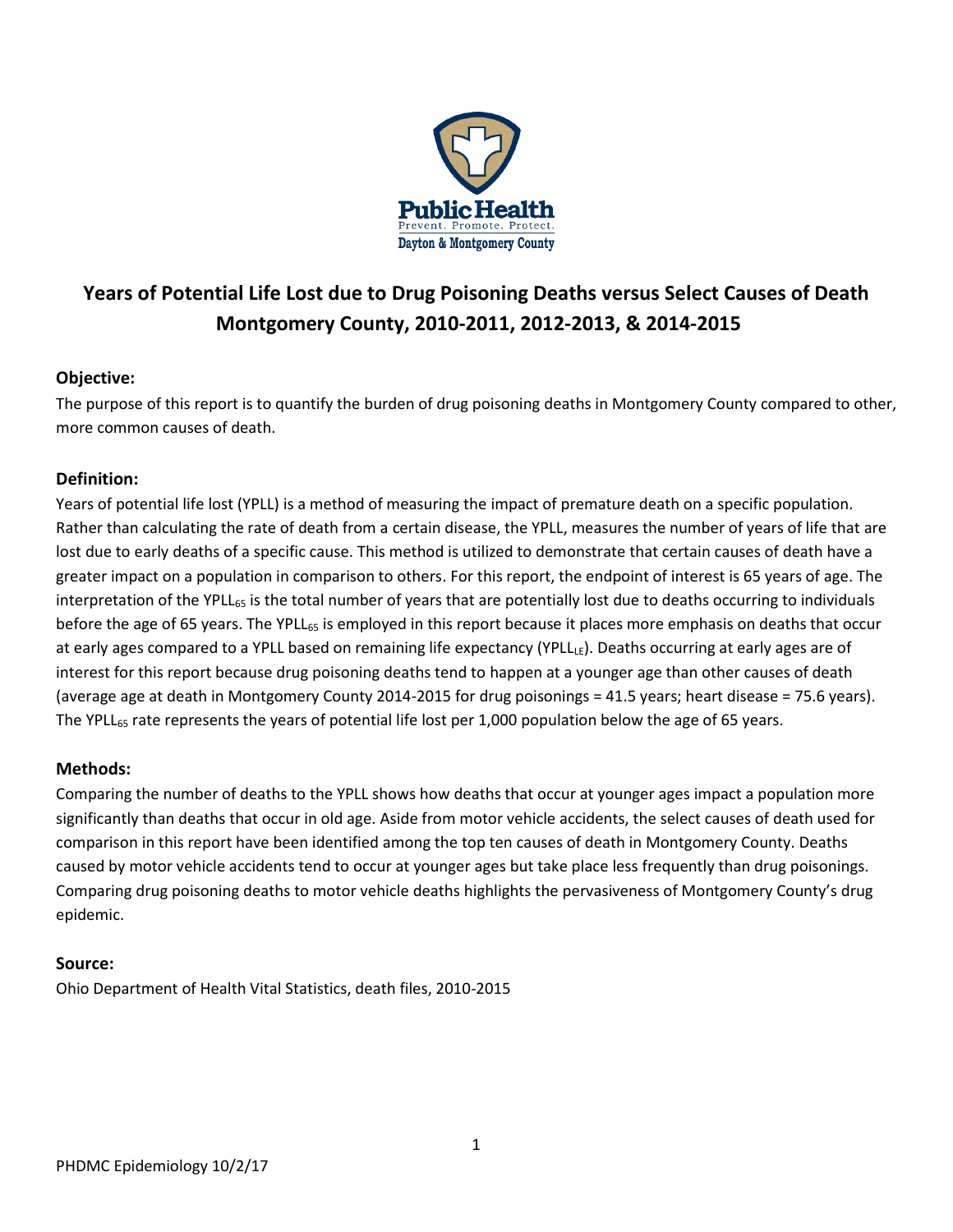

# **Years of Potential Life Lost due to Drug Poisoning Deaths versus Select Causes of Death Montgomery County, 2010-2011, 2012-2013, & 2014-2015**

# **Objective:**

The purpose of this report is to quantify the burden of drug poisoning deaths in Montgomery County compared to other, more common causes of death.

# **Definition:**

Years of potential life lost (YPLL) is a method of measuring the impact of premature death on a specific population. Rather than calculating the rate of death from a certain disease, the YPLL, measures the number of years of life that are lost due to early deaths of a specific cause. This method is utilized to demonstrate that certain causes of death have a greater impact on a population in comparison to others. For this report, the endpoint of interest is 65 years of age. The interpretation of the YPLL $_{65}$  is the total number of years that are potentially lost due to deaths occurring to individuals before the age of 65 years. The YPLL<sub>65</sub> is employed in this report because it places more emphasis on deaths that occur at early ages compared to a YPLL based on remaining life expectancy (YPLLLE). Deaths occurring at early ages are of interest for this report because drug poisoning deaths tend to happen at a younger age than other causes of death (average age at death in Montgomery County 2014-2015 for drug poisonings = 41.5 years; heart disease = 75.6 years). The YPLL<sub>65</sub> rate represents the years of potential life lost per 1,000 population below the age of 65 years.

# **Methods:**

Comparing the number of deaths to the YPLL shows how deaths that occur at younger ages impact a population more significantly than deaths that occur in old age. Aside from motor vehicle accidents, the select causes of death used for comparison in this report have been identified among the top ten causes of death in Montgomery County. Deaths caused by motor vehicle accidents tend to occur at younger ages but take place less frequently than drug poisonings. Comparing drug poisoning deaths to motor vehicle deaths highlights the pervasiveness of Montgomery County's drug epidemic.

# **Source:**

Ohio Department of Health Vital Statistics, death files, 2010-2015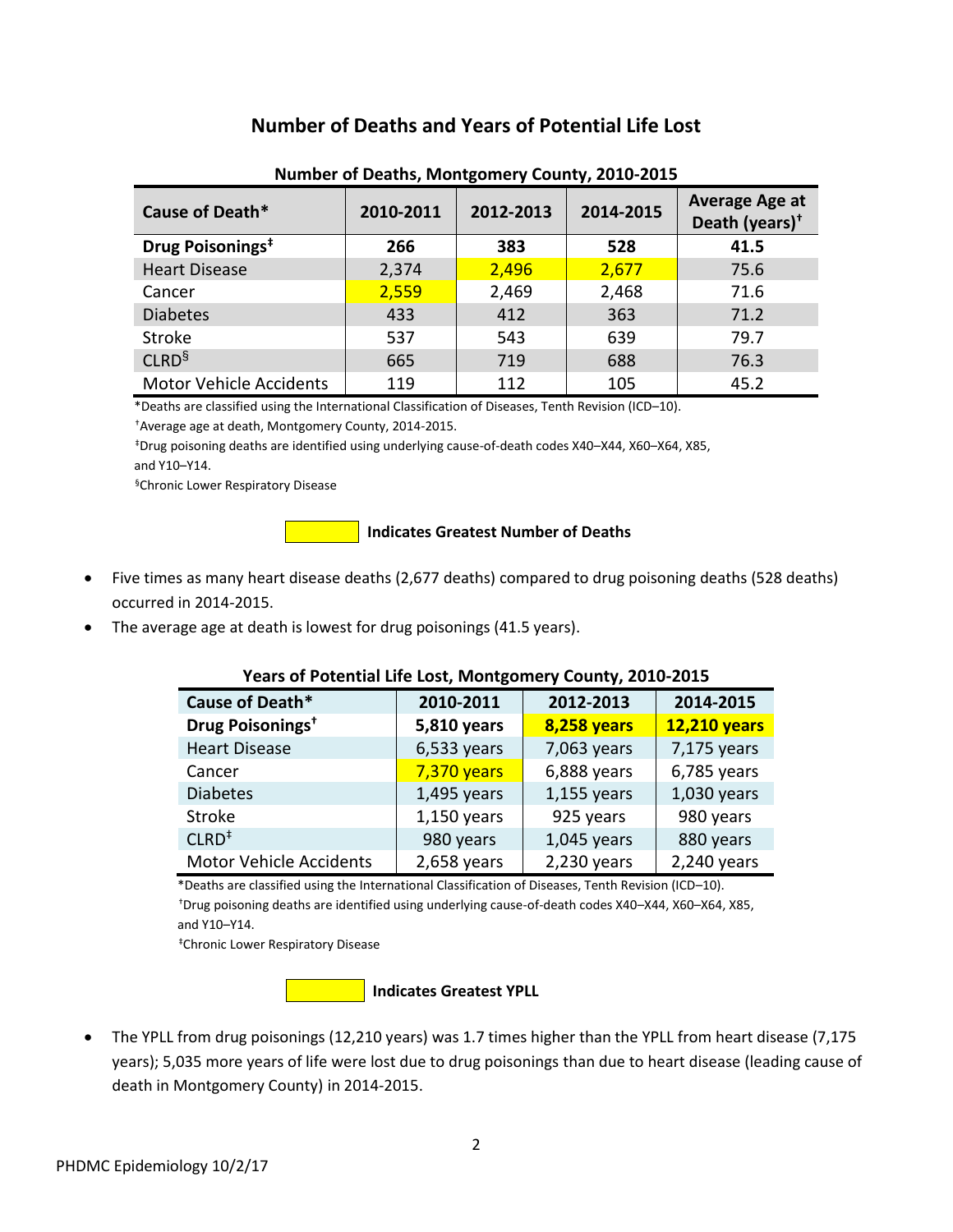# **Number of Deaths and Years of Potential Life Lost**

| Cause of Death*                | 2010-2011 | 2012-2013 | 2014-2015 | <b>Average Age at</b><br>Death (years) $†$ |
|--------------------------------|-----------|-----------|-----------|--------------------------------------------|
| Drug Poisonings <sup>#</sup>   | 266       | 383       | 528       | 41.5                                       |
| <b>Heart Disease</b>           | 2,374     | 2,496     | 2,677     | 75.6                                       |
| Cancer                         | 2,559     | 2,469     | 2,468     | 71.6                                       |
| <b>Diabetes</b>                | 433       | 412       | 363       | 71.2                                       |
| Stroke                         | 537       | 543       | 639       | 79.7                                       |
| CLRD <sup>§</sup>              | 665       | 719       | 688       | 76.3                                       |
| <b>Motor Vehicle Accidents</b> | 119       | 112       | 105       | 45.2                                       |

#### **Number of Deaths, Montgomery County, 2010-2015**

\*Deaths are classified using the International Classification of Diseases, Tenth Revision (ICD–10).

†Average age at death, Montgomery County, 2014-2015.

 ‡Drug poisoning deaths are identified using underlying cause-of-death codes X40–X44, X60–X64, X85, and Y10–Y14.

§Chronic Lower Respiratory Disease

**Indicates Greatest Number of Deaths** 

- Five times as many heart disease deaths (2,677 deaths) compared to drug poisoning deaths (528 deaths) occurred in 2014-2015.
- The average age at death is lowest for drug poisonings (41.5 years).

#### **Years of Potential Life Lost, Montgomery County, 2010-2015**

| Cause of Death*                         | 2010-2011     | 2012-2013          | 2014-2015           |
|-----------------------------------------|---------------|--------------------|---------------------|
| Drug Poisonings <sup>+</sup>            | 5,810 years   | <b>8,258 years</b> | <b>12,210 years</b> |
| <b>Heart Disease</b>                    | $6,533$ years | 7,063 years        | 7,175 years         |
| Cancer                                  | 7,370 years   | $6,888$ years      | $6,785$ years       |
| <b>Diabetes</b>                         | $1,495$ years | $1,155$ years      | $1,030$ years       |
| <b>Stroke</b>                           | $1,150$ years | 925 years          | 980 years           |
| $CLRD$ <sup><math>\ddagger</math></sup> | 980 years     | $1,045$ years      | 880 years           |
| Motor Vehicle Accidents                 | $2,658$ years | 2,230 years        | $2,240$ years       |

 \*Deaths are classified using the International Classification of Diseases, Tenth Revision (ICD–10). †Drug poisoning deaths are identified using underlying cause-of-death codes X40–X44, X60–X64, X85, and Y10–Y14.

‡Chronic Lower Respiratory Disease

#### **Indicates Greatest YPLL**

• The YPLL from drug poisonings (12,210 years) was 1.7 times higher than the YPLL from heart disease (7,175 years); 5,035 more years of life were lost due to drug poisonings than due to heart disease (leading cause of death in Montgomery County) in 2014-2015.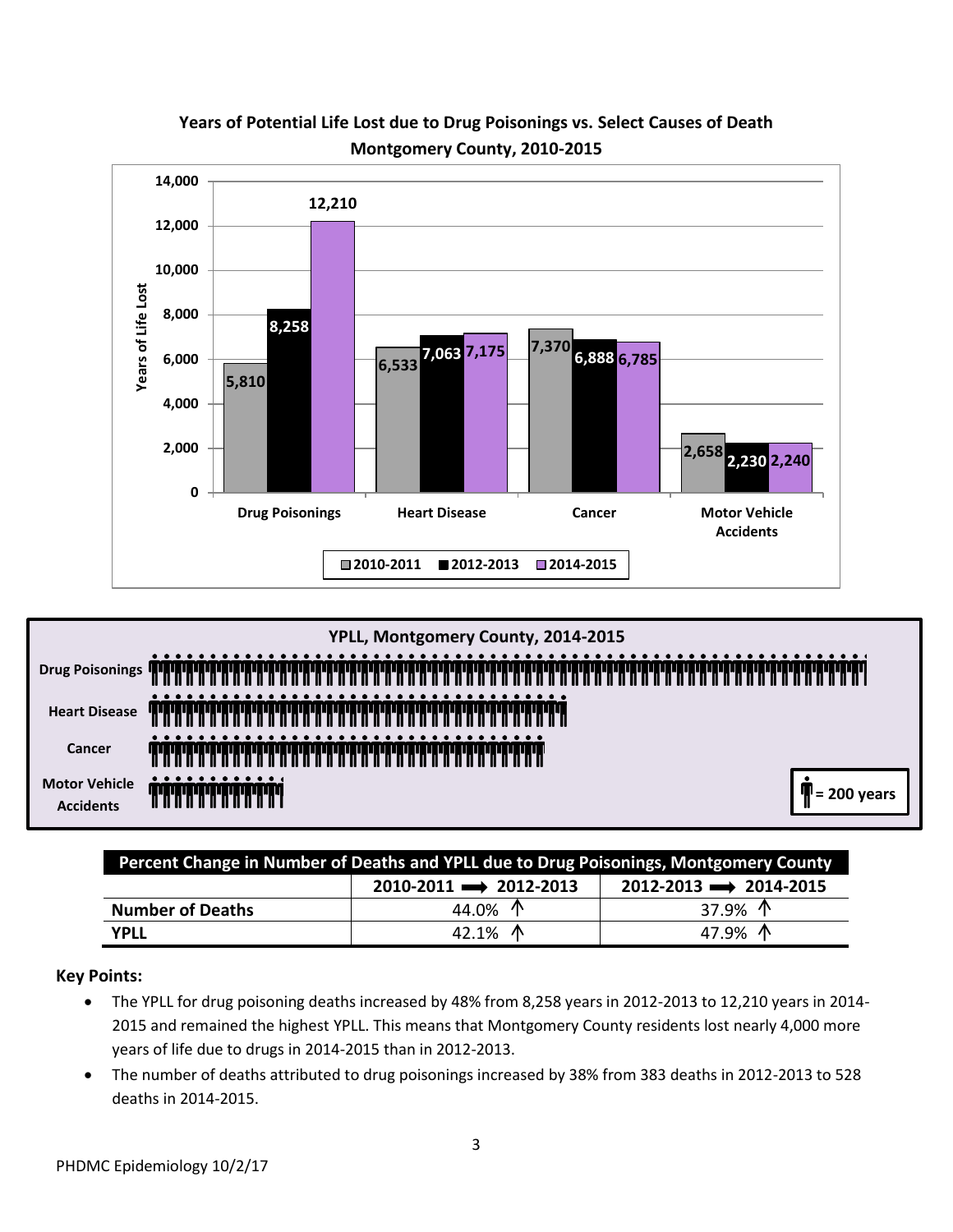

# **Years of Potential Life Lost due to Drug Poisonings vs. Select Causes of Death Montgomery County, 2010-2015**



| Percent Change in Number of Deaths and YPLL due to Drug Poisonings, Montgomery County |                                       |                                    |  |  |  |
|---------------------------------------------------------------------------------------|---------------------------------------|------------------------------------|--|--|--|
|                                                                                       | $2010 - 2011 \rightarrow 2012 - 2013$ | $2012 - 2013 \implies 2014 - 2015$ |  |  |  |
| <b>Number of Deaths</b>                                                               | 44.0% ^                               | 37.9% $\uparrow$                   |  |  |  |
| <b>YPLL</b>                                                                           | 42.1% $\Lambda$                       | 47.9% $\Lambda$                    |  |  |  |

## **Key Points:**

- The YPLL for drug poisoning deaths increased by 48% from 8,258 years in 2012-2013 to 12,210 years in 2014- 2015 and remained the highest YPLL. This means that Montgomery County residents lost nearly 4,000 more years of life due to drugs in 2014-2015 than in 2012-2013.
- The number of deaths attributed to drug poisonings increased by 38% from 383 deaths in 2012-2013 to 528 deaths in 2014-2015.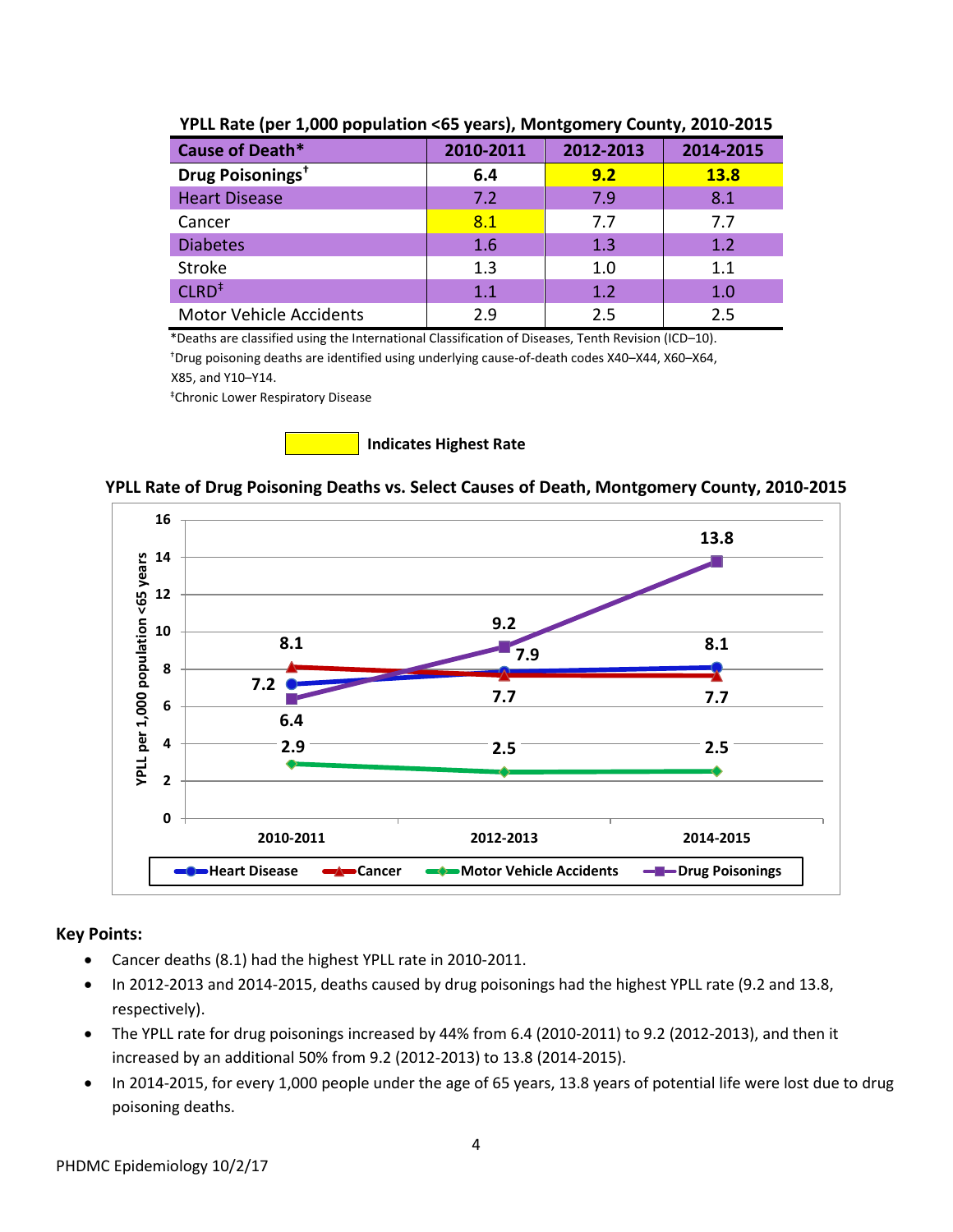| Cause of Death*                         | 2010-2011 | 2012-2013 | 2014-2015   |
|-----------------------------------------|-----------|-----------|-------------|
| Drug Poisonings <sup>+</sup>            | 6.4       | 9.2       | <b>13.8</b> |
| <b>Heart Disease</b>                    | 7.2       | 7.9       | 8.1         |
| Cancer                                  | 8.1       | 7.7       | 7.7         |
| <b>Diabetes</b>                         | 1.6       | 1.3       | 1.2         |
| <b>Stroke</b>                           | 1.3       | 1.0       | 1.1         |
| $CLRD$ <sup><math>\ddagger</math></sup> | 1.1       | 1.2       | 1.0         |
| <b>Motor Vehicle Accidents</b>          | 2.9       | 2.5       | 2.5         |

## **YPLL Rate (per 1,000 population <65 years), Montgomery County, 2010-2015**

 \*Deaths are classified using the International Classification of Diseases, Tenth Revision (ICD–10). †Drug poisoning deaths are identified using underlying cause-of-death codes X40–X44, X60–X64, X85, and Y10–Y14.

‡Chronic Lower Respiratory Disease



# **YPLL Rate of Drug Poisoning Deaths vs. Select Causes of Death, Montgomery County, 2010-2015**



## **Key Points:**

- Cancer deaths (8.1) had the highest YPLL rate in 2010-2011.
- In 2012-2013 and 2014-2015, deaths caused by drug poisonings had the highest YPLL rate (9.2 and 13.8, respectively).
- The YPLL rate for drug poisonings increased by 44% from 6.4 (2010-2011) to 9.2 (2012-2013), and then it increased by an additional 50% from 9.2 (2012-2013) to 13.8 (2014-2015).
- In 2014-2015, for every 1,000 people under the age of 65 years, 13.8 years of potential life were lost due to drug poisoning deaths.